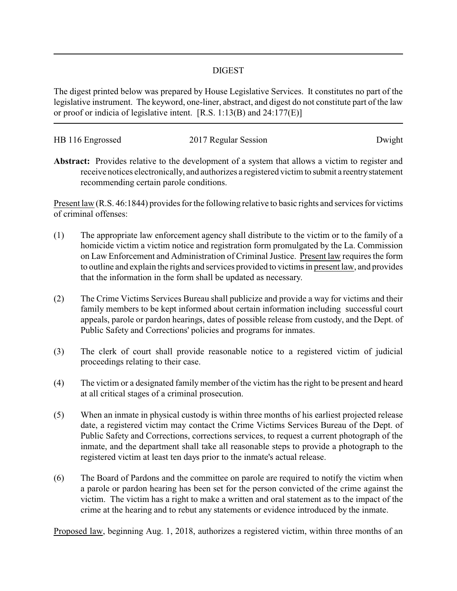## DIGEST

The digest printed below was prepared by House Legislative Services. It constitutes no part of the legislative instrument. The keyword, one-liner, abstract, and digest do not constitute part of the law or proof or indicia of legislative intent. [R.S. 1:13(B) and 24:177(E)]

| HB 116 Engrossed | 2017 Regular Session | Dwight |
|------------------|----------------------|--------|

**Abstract:** Provides relative to the development of a system that allows a victim to register and receive notices electronically, and authorizes a registered victim to submit a reentrystatement recommending certain parole conditions.

Present law (R.S. 46:1844) provides for the following relative to basic rights and services for victims of criminal offenses:

- (1) The appropriate law enforcement agency shall distribute to the victim or to the family of a homicide victim a victim notice and registration form promulgated by the La. Commission on Law Enforcement and Administration of Criminal Justice. Present law requires the form to outline and explain the rights and services provided to victims in present law, and provides that the information in the form shall be updated as necessary.
- (2) The Crime Victims Services Bureau shall publicize and provide a way for victims and their family members to be kept informed about certain information including successful court appeals, parole or pardon hearings, dates of possible release from custody, and the Dept. of Public Safety and Corrections' policies and programs for inmates.
- (3) The clerk of court shall provide reasonable notice to a registered victim of judicial proceedings relating to their case.
- (4) The victim or a designated family member of the victim has the right to be present and heard at all critical stages of a criminal prosecution.
- (5) When an inmate in physical custody is within three months of his earliest projected release date, a registered victim may contact the Crime Victims Services Bureau of the Dept. of Public Safety and Corrections, corrections services, to request a current photograph of the inmate, and the department shall take all reasonable steps to provide a photograph to the registered victim at least ten days prior to the inmate's actual release.
- (6) The Board of Pardons and the committee on parole are required to notify the victim when a parole or pardon hearing has been set for the person convicted of the crime against the victim. The victim has a right to make a written and oral statement as to the impact of the crime at the hearing and to rebut any statements or evidence introduced by the inmate.

Proposed law, beginning Aug. 1, 2018, authorizes a registered victim, within three months of an